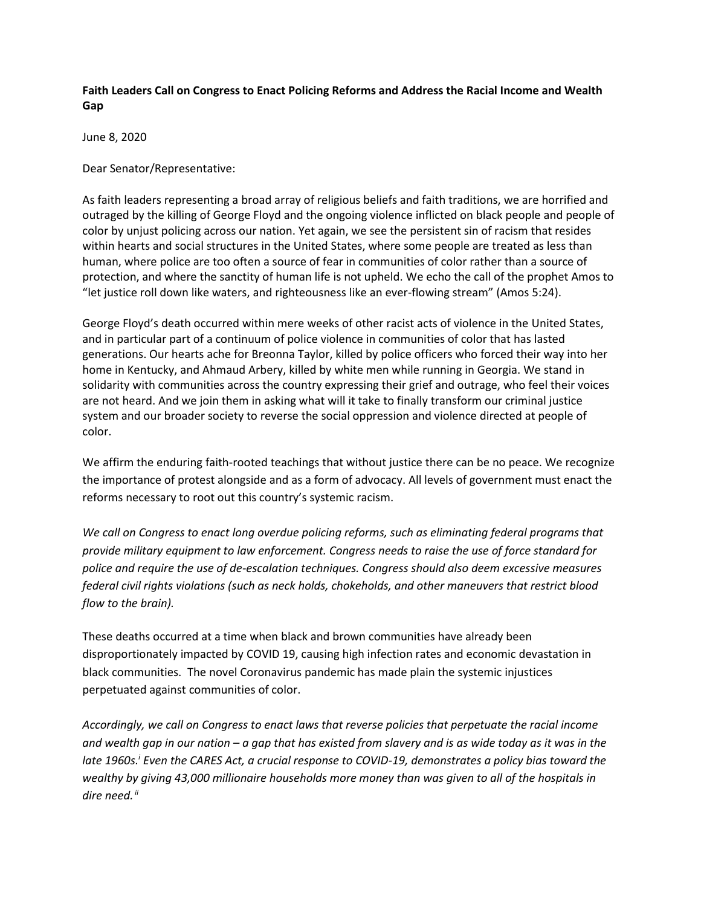## **Faith Leaders Call on Congress to Enact Policing Reforms and Address the Racial Income and Wealth Gap**

June 8, 2020

Dear Senator/Representative:

As faith leaders representing a broad array of religious beliefs and faith traditions, we are horrified and outraged by the killing of George Floyd and the ongoing violence inflicted on black people and people of color by unjust policing across our nation. Yet again, we see the persistent sin of racism that resides within hearts and social structures in the United States, where some people are treated as less than human, where police are too often a source of fear in communities of color rather than a source of protection, and where the sanctity of human life is not upheld. We echo the call of the prophet Amos to "let justice roll down like waters, and righteousness like an ever-flowing stream" (Amos 5:24).

George Floyd's death occurred within mere weeks of other racist acts of violence in the United States, and in particular part of a continuum of police violence in communities of color that has lasted generations. Our hearts ache for Breonna Taylor, killed by police officers who forced their way into her home in Kentucky, and Ahmaud Arbery, killed by white men while running in Georgia. We stand in solidarity with communities across the country expressing their grief and outrage, who feel their voices are not heard. And we join them in asking what will it take to finally transform our criminal justice system and our broader society to reverse the social oppression and violence directed at people of color.

We affirm the enduring faith-rooted teachings that without justice there can be no peace. We recognize the importance of protest alongside and as a form of advocacy. All levels of government must enact the reforms necessary to root out this country's systemic racism.

*We call on Congress to enact long overdue policing reforms, such as eliminating federal programs that provide military equipment to law enforcement. Congress needs to raise the use of force standard for police and require the use of de-escalation techniques. Congress should also deem excessive measures federal civil rights violations (such as neck holds, chokeholds, and other maneuvers that restrict blood flow to the brain).*

These deaths occurred at a time when black and brown communities have already been disproportionately impacted by COVID 19, causing high infection rates and economic devastation in black communities. The novel Coronavirus pandemic has made plain the systemic injustices perpetuated against communities of color.

*Accordingly, we call on Congress to enact laws that reverse policies that perpetuate the racial income and wealth gap in our nation – a gap that has existed from slavery and is as wide today as it was in the late 1960s.<sup>i</sup> Even the CARES Act, a crucial response to COVID-19, demonstrates a policy bias toward the wealthy by giving 43,000 millionaire households more money than was given to all of the hospitals in dire need. ii*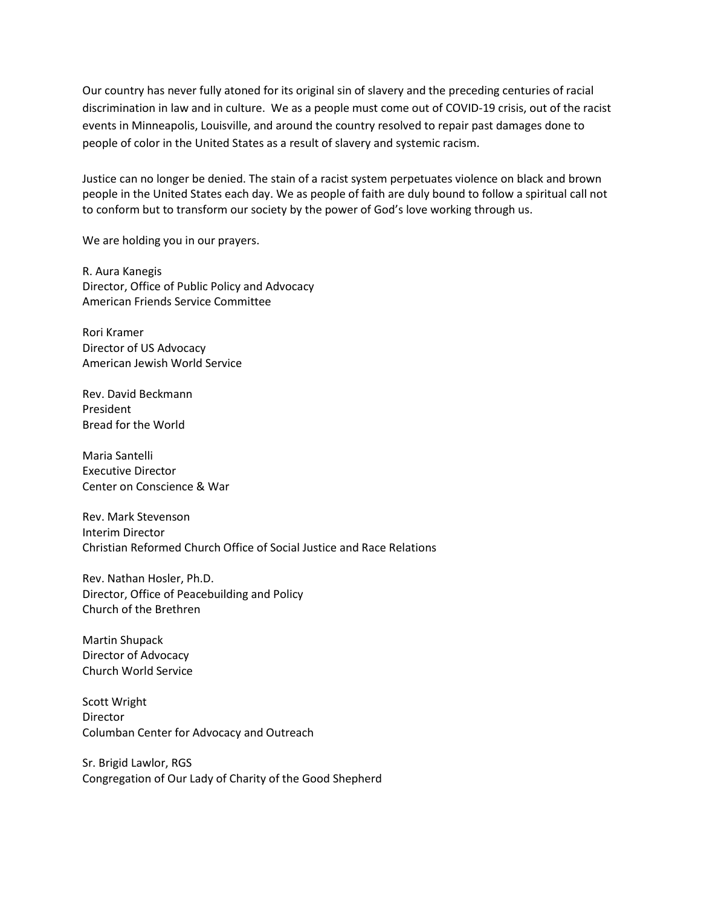Our country has never fully atoned for its original sin of slavery and the preceding centuries of racial discrimination in law and in culture. We as a people must come out of COVID-19 crisis, out of the racist events in Minneapolis, Louisville, and around the country resolved to repair past damages done to people of color in the United States as a result of slavery and systemic racism.

Justice can no longer be denied. The stain of a racist system perpetuates violence on black and brown people in the United States each day. We as people of faith are duly bound to follow a spiritual call not to conform but to transform our society by the power of God's love working through us.

We are holding you in our prayers.

R. Aura Kanegis Director, Office of Public Policy and Advocacy American Friends Service Committee

Rori Kramer Director of US Advocacy American Jewish World Service

Rev. David Beckmann President Bread for the World

Maria Santelli Executive Director Center on Conscience & War

Rev. Mark Stevenson Interim Director Christian Reformed Church Office of Social Justice and Race Relations

Rev. Nathan Hosler, Ph.D. Director, Office of Peacebuilding and Policy Church of the Brethren

Martin Shupack Director of Advocacy Church World Service

Scott Wright Director Columban Center for Advocacy and Outreach

Sr. Brigid Lawlor, RGS Congregation of Our Lady of Charity of the Good Shepherd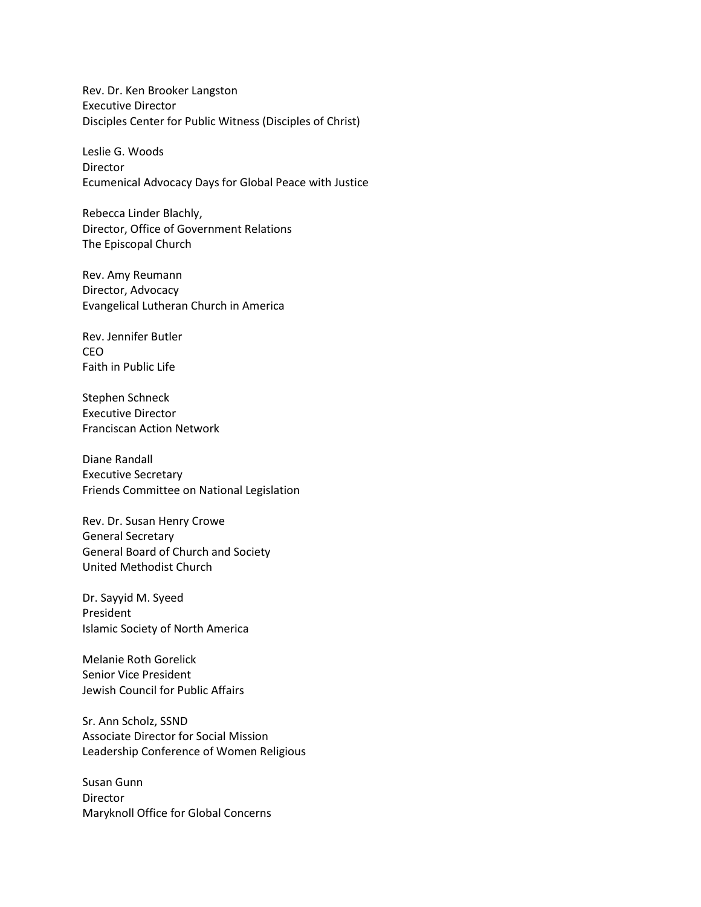Rev. Dr. Ken Brooker Langston Executive Director Disciples Center for Public Witness (Disciples of Christ)

Leslie G. Woods **Director** Ecumenical Advocacy Days for Global Peace with Justice

Rebecca Linder Blachly, Director, Office of Government Relations The Episcopal Church

Rev. Amy Reumann Director, Advocacy Evangelical Lutheran Church in America

Rev. Jennifer Butler CEO Faith in Public Life

Stephen Schneck Executive Director Franciscan Action Network

Diane Randall Executive Secretary Friends Committee on National Legislation

Rev. Dr. Susan Henry Crowe General Secretary General Board of Church and Society United Methodist Church

Dr. Sayyid M. Syeed President Islamic Society of North America

Melanie Roth Gorelick Senior Vice President Jewish Council for Public Affairs

Sr. Ann Scholz, SSND Associate Director for Social Mission Leadership Conference of Women Religious

Susan Gunn Director Maryknoll Office for Global Concerns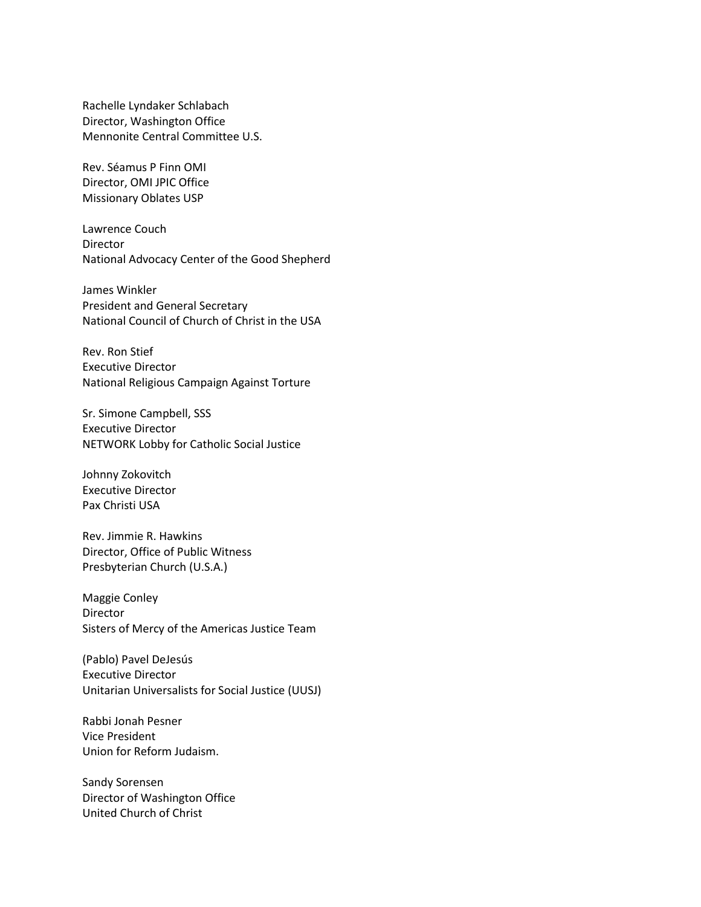Rachelle Lyndaker Schlabach Director, Washington Office Mennonite Central Committee U.S.

Rev. Séamus P Finn OMI Director, OMI JPIC Office Missionary Oblates USP

Lawrence Couch Director National Advocacy Center of the Good Shepherd

James Winkler President and General Secretary National Council of Church of Christ in the USA

Rev. Ron Stief Executive Director National Religious Campaign Against Torture

Sr. Simone Campbell, SSS Executive Director NETWORK Lobby for Catholic Social Justice

Johnny Zokovitch Executive Director Pax Christi USA

Rev. Jimmie R. Hawkins Director, Office of Public Witness Presbyterian Church (U.S.A.)

Maggie Conley Director Sisters of Mercy of the Americas Justice Team

(Pablo) Pavel DeJesús Executive Director Unitarian Universalists for Social Justice (UUSJ)

Rabbi Jonah Pesner Vice President Union for Reform Judaism.

Sandy Sorensen Director of Washington Office United Church of Christ